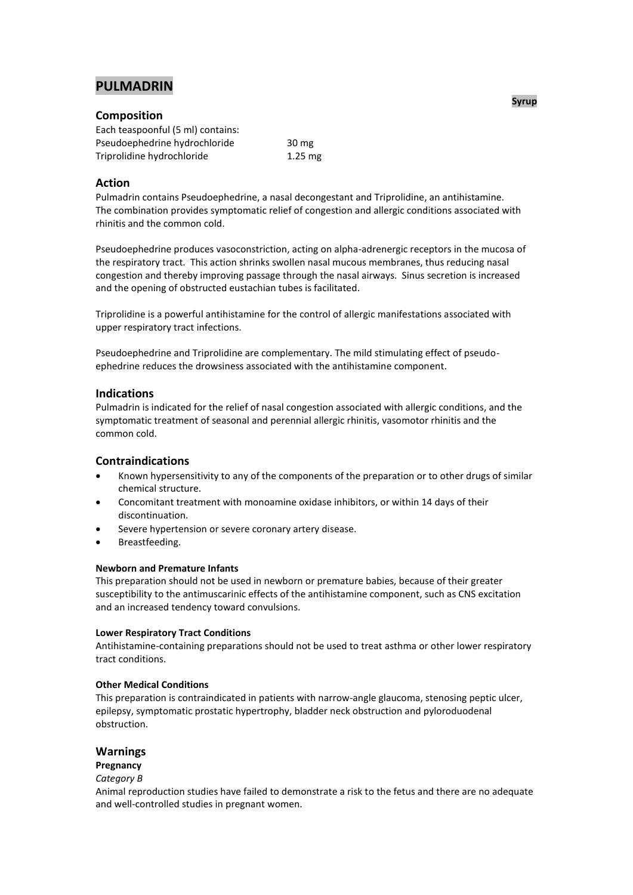# **PULMADRIN**

# **Composition**

| Each teaspoonful (5 ml) contains: |           |  |
|-----------------------------------|-----------|--|
| Pseudoephedrine hydrochloride     | 30 mg     |  |
| Triprolidine hydrochloride        | $1.25$ mg |  |

# **Action**

Pulmadrin contains Pseudoephedrine, a nasal decongestant and Triprolidine, an antihistamine. The combination provides symptomatic relief of congestion and allergic conditions associated with rhinitis and the common cold.

Pseudoephedrine produces vasoconstriction, acting on alpha-adrenergic receptors in the mucosa of the respiratory tract. This action shrinks swollen nasal mucous membranes, thus reducing nasal congestion and thereby improving passage through the nasal airways. Sinus secretion is increased and the opening of obstructed eustachian tubes is facilitated.

Triprolidine is a powerful antihistamine for the control of allergic manifestations associated with upper respiratory tract infections.

Pseudoephedrine and Triprolidine are complementary. The mild stimulating effect of pseudoephedrine reduces the drowsiness associated with the antihistamine component.

# **Indications**

Pulmadrin is indicated for the relief of nasal congestion associated with allergic conditions, and the symptomatic treatment of seasonal and perennial allergic rhinitis, vasomotor rhinitis and the common cold.

# **Contraindications**

- Known hypersensitivity to any of the components of the preparation or to other drugs of similar chemical structure.
- Concomitant treatment with monoamine oxidase inhibitors, or within 14 days of their discontinuation.
- Severe hypertension or severe coronary artery disease.
- Breastfeeding.

### **Newborn and Premature Infants**

This preparation should not be used in newborn or premature babies, because of their greater susceptibility to the antimuscarinic effects of the antihistamine component, such as CNS excitation and an increased tendency toward convulsions.

### **Lower Respiratory Tract Conditions**

Antihistamine-containing preparations should not be used to treat asthma or other lower respiratory tract conditions.

# **Other Medical Conditions**

This preparation is contraindicated in patients with narrow-angle glaucoma, stenosing peptic ulcer, epilepsy, symptomatic prostatic hypertrophy, bladder neck obstruction and pyloroduodenal obstruction.

# **Warnings**

# **Pregnancy**

# *Category B*

Animal reproduction studies have failed to demonstrate a risk to the fetus and there are no adequate and well-controlled studies in pregnant women.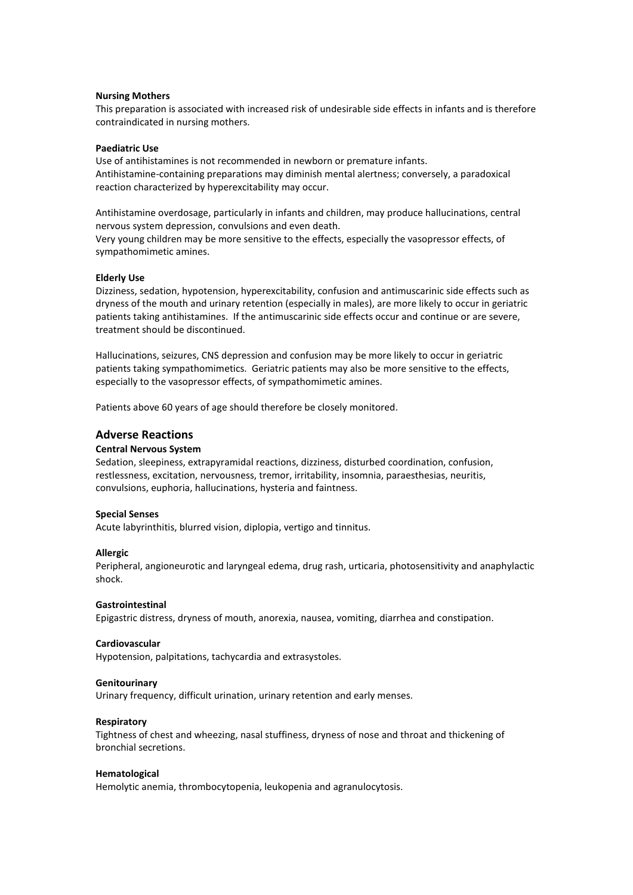### **Nursing Mothers**

This preparation is associated with increased risk of undesirable side effects in infants and is therefore contraindicated in nursing mothers.

### **Paediatric Use**

Use of antihistamines is not recommended in newborn or premature infants. Antihistamine-containing preparations may diminish mental alertness; conversely, a paradoxical reaction characterized by hyperexcitability may occur.

Antihistamine overdosage, particularly in infants and children, may produce hallucinations, central nervous system depression, convulsions and even death.

Very young children may be more sensitive to the effects, especially the vasopressor effects, of sympathomimetic amines.

### **Elderly Use**

Dizziness, sedation, hypotension, hyperexcitability, confusion and antimuscarinic side effects such as dryness of the mouth and urinary retention (especially in males), are more likely to occur in geriatric patients taking antihistamines. If the antimuscarinic side effects occur and continue or are severe, treatment should be discontinued.

Hallucinations, seizures, CNS depression and confusion may be more likely to occur in geriatric patients taking sympathomimetics. Geriatric patients may also be more sensitive to the effects, especially to the vasopressor effects, of sympathomimetic amines.

Patients above 60 years of age should therefore be closely monitored.

### **Adverse Reactions**

#### **Central Nervous System**

Sedation, sleepiness, extrapyramidal reactions, dizziness, disturbed coordination, confusion, restlessness, excitation, nervousness, tremor, irritability, insomnia, paraesthesias, neuritis, convulsions, euphoria, hallucinations, hysteria and faintness.

### **Special Senses**

Acute labyrinthitis, blurred vision, diplopia, vertigo and tinnitus.

#### **Allergic**

Peripheral, angioneurotic and laryngeal edema, drug rash, urticaria, photosensitivity and anaphylactic shock.

### **Gastrointestinal**

Epigastric distress, dryness of mouth, anorexia, nausea, vomiting, diarrhea and constipation.

#### **Cardiovascular**

Hypotension, palpitations, tachycardia and extrasystoles.

#### **Genitourinary**

Urinary frequency, difficult urination, urinary retention and early menses.

#### **Respiratory**

Tightness of chest and wheezing, nasal stuffiness, dryness of nose and throat and thickening of bronchial secretions.

#### **Hematological**

Hemolytic anemia, thrombocytopenia, leukopenia and agranulocytosis.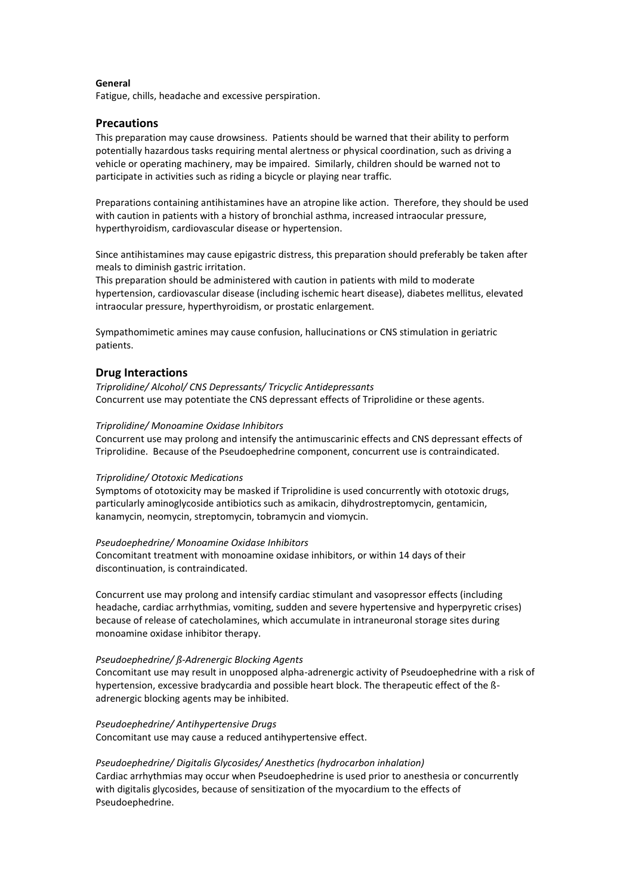### **General**

Fatigue, chills, headache and excessive perspiration.

# **Precautions**

This preparation may cause drowsiness. Patients should be warned that their ability to perform potentially hazardous tasks requiring mental alertness or physical coordination, such as driving a vehicle or operating machinery, may be impaired. Similarly, children should be warned not to participate in activities such as riding a bicycle or playing near traffic.

Preparations containing antihistamines have an atropine like action. Therefore, they should be used with caution in patients with a history of bronchial asthma, increased intraocular pressure, hyperthyroidism, cardiovascular disease or hypertension.

Since antihistamines may cause epigastric distress, this preparation should preferably be taken after meals to diminish gastric irritation.

This preparation should be administered with caution in patients with mild to moderate hypertension, cardiovascular disease (including ischemic heart disease), diabetes mellitus, elevated intraocular pressure, hyperthyroidism, or prostatic enlargement.

Sympathomimetic amines may cause confusion, hallucinations or CNS stimulation in geriatric patients.

# **Drug Interactions**

*Triprolidine/ Alcohol/ CNS Depressants/ Tricyclic Antidepressants* Concurrent use may potentiate the CNS depressant effects of Triprolidine or these agents.

### *Triprolidine/ Monoamine Oxidase Inhibitors*

Concurrent use may prolong and intensify the antimuscarinic effects and CNS depressant effects of Triprolidine. Because of the Pseudoephedrine component, concurrent use is contraindicated.

### *Triprolidine/ Ototoxic Medications*

Symptoms of ototoxicity may be masked if Triprolidine is used concurrently with ototoxic drugs, particularly aminoglycoside antibiotics such as amikacin, dihydrostreptomycin, gentamicin, kanamycin, neomycin, streptomycin, tobramycin and viomycin.

### *Pseudoephedrine/ Monoamine Oxidase Inhibitors*

Concomitant treatment with monoamine oxidase inhibitors, or within 14 days of their discontinuation, is contraindicated.

Concurrent use may prolong and intensify cardiac stimulant and vasopressor effects (including headache, cardiac arrhythmias, vomiting, sudden and severe hypertensive and hyperpyretic crises) because of release of catecholamines, which accumulate in intraneuronal storage sites during monoamine oxidase inhibitor therapy.

# *Pseudoephedrine/ ß-Adrenergic Blocking Agents*

Concomitant use may result in unopposed alpha-adrenergic activity of Pseudoephedrine with a risk of hypertension, excessive bradycardia and possible heart block. The therapeutic effect of the ßadrenergic blocking agents may be inhibited.

*Pseudoephedrine/ Antihypertensive Drugs* Concomitant use may cause a reduced antihypertensive effect.

# *Pseudoephedrine/ Digitalis Glycosides/ Anesthetics (hydrocarbon inhalation)*

Cardiac arrhythmias may occur when Pseudoephedrine is used prior to anesthesia or concurrently with digitalis glycosides, because of sensitization of the myocardium to the effects of Pseudoephedrine.